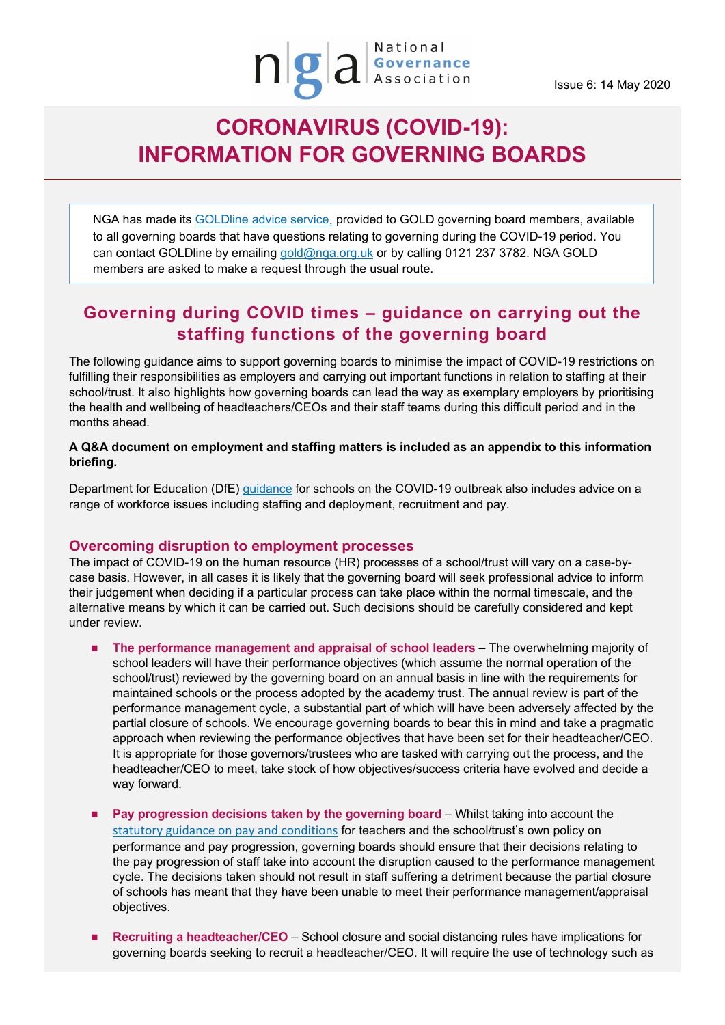## **CORONAVIRUS (COVID-19): INFORMATION FOR GOVERNING BOARDS**

NGA has made its [GOLDline advice service,](http://www.nga.org.uk/Membership/GOLDline-The-NGA-Advice-service.aspx) provided to GOLD governing board members, available to all governing boards that have questions relating to governing during the COVID-19 period. You can contact GOLDline by emailing [gold@nga.org.uk](mailto:gold@nga.org.uk) or by calling 0121 237 3782. NGA GOLD members are asked to make a request through the usual route.

### **Governing during COVID times – guidance on carrying out the staffing functions of the governing board**

The following guidance aims to support governing boards to minimise the impact of COVID-19 restrictions on fulfilling their responsibilities as employers and carrying out important functions in relation to staffing at their school/trust. It also highlights how governing boards can lead the way as exemplary employers by prioritising the health and wellbeing of headteachers/CEOs and their staff teams during this difficult period and in the months ahead.

**A Q&A document on employment and staffing matters is included as an appendix to this information briefing.**

Department for Education (DfE) [guidance](https://www.gov.uk/government/publications/covid-19-school-closures/guidance-for-schools-about-temporarily-closing) for schools on the COVID-19 outbreak also includes advice on a range of workforce issues including staffing and deployment, recruitment and pay.

### **Overcoming disruption to employment processes**

The impact of COVID-19 on the human resource (HR) processes of a school/trust will vary on a case-bycase basis. However, in all cases it is likely that the governing board will seek professional advice to inform their judgement when deciding if a particular process can take place within the normal timescale, and the alternative means by which it can be carried out. Such decisions should be carefully considered and kept under review.

- **The performance management and appraisal of school leaders The overwhelming majority of** school leaders will have their performance objectives (which assume the normal operation of the school/trust) reviewed by the governing board on an annual basis in line with the requirements for maintained schools or the process adopted by the academy trust. The annual review is part of the performance management cycle, a substantial part of which will have been adversely affected by the partial closure of schools. We encourage governing boards to bear this in mind and take a pragmatic approach when reviewing the performance objectives that have been set for their headteacher/CEO. It is appropriate for those governors/trustees who are tasked with carrying out the process, and the headteacher/CEO to meet, take stock of how objectives/success criteria have evolved and decide a way forward.
- **Pay progression decisions taken by the governing board Whilst taking into account the** [statutory guidance on pay and conditions](https://www.gov.uk/government/publications/school-teachers-pay-and-conditions) for teachers and the school/trust's own policy on performance and pay progression, governing boards should ensure that their decisions relating to the pay progression of staff take into account the disruption caused to the performance management cycle. The decisions taken should not result in staff suffering a detriment because the partial closure of schools has meant that they have been unable to meet their performance management/appraisal objectives.
- **Recruiting a headteacher/CEO** School closure and social distancing rules have implications for governing boards seeking to recruit a headteacher/CEO. It will require the use of technology such as